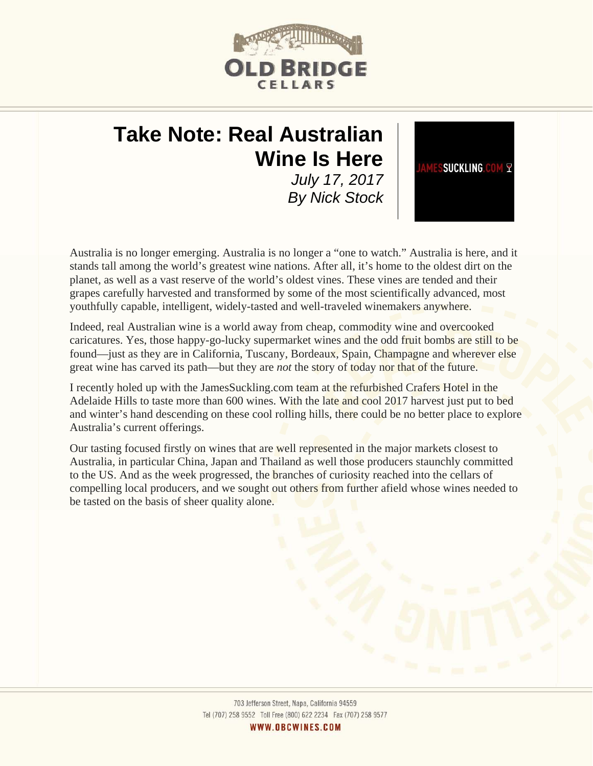

# **Take Note: Real Australian Wine Is Here**  *July 17, 2017*

*By Nick Stock* 



Australia is no longer emerging. Australia is no longer a "one to watch." Australia is here, and it stands tall among the world's greatest wine nations. After all, it's home to the oldest dirt on the planet, as well as a vast reserve of the world's oldest vines. These vines are tended and their grapes carefully harvested and transformed by some of the most scientifically advanced, most youthfully capable, intelligent, widely-tasted and well-traveled winemakers anywhere.

Indeed, real Australian wine is a world away from cheap, commodity wine and overcooked caricatures. Yes, those happy-go-lucky supermarket wines and the odd fruit bombs are still to be found—just as they are in California, Tuscany, Bordeaux, Spain, Champagne and wherever else great wine has carved its path—but they are *not* the story of today nor that of the future.

I recently holed up with the JamesSuckling.com team at the refurbished Crafers Hotel in the Adelaide Hills to taste more than 600 wines. With the late and cool 2017 harvest just put to bed and winter's hand descending on these cool rolling hills, there could be no better place to explore Australia's current offerings.

Our tasting focused firstly on wines that are well represented in the major markets closest to Australia, in particular China, Japan and Thailand as well those producers staunchly committed to the US. And as the week progressed, the branches of curiosity reached into the cellars of compelling local producers, and we sought out others from further afield whose wines needed to be tasted on the basis of sheer quality alone.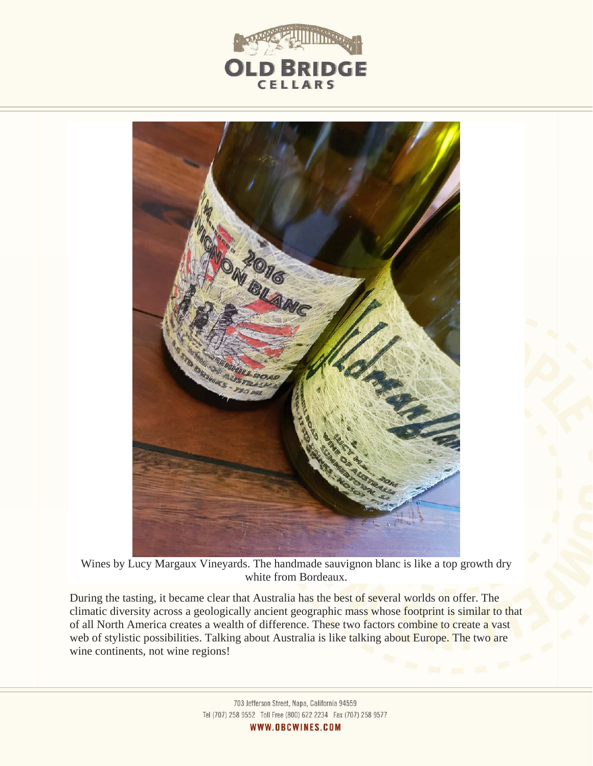



Wines by Lucy Margaux Vineyards. The handmade sauvignon blanc is like a top growth dry white from Bordeaux.

During the tasting, it became clear that Australia has the best of several worlds on offer. The climatic diversity across a geologically ancient geographic mass whose footprint is similar to that of all North America creates a wealth of difference. These two factors combine to create a vast web of stylistic possibilities. Talking about Australia is like talking about Europe. The two are wine continents, not wine regions!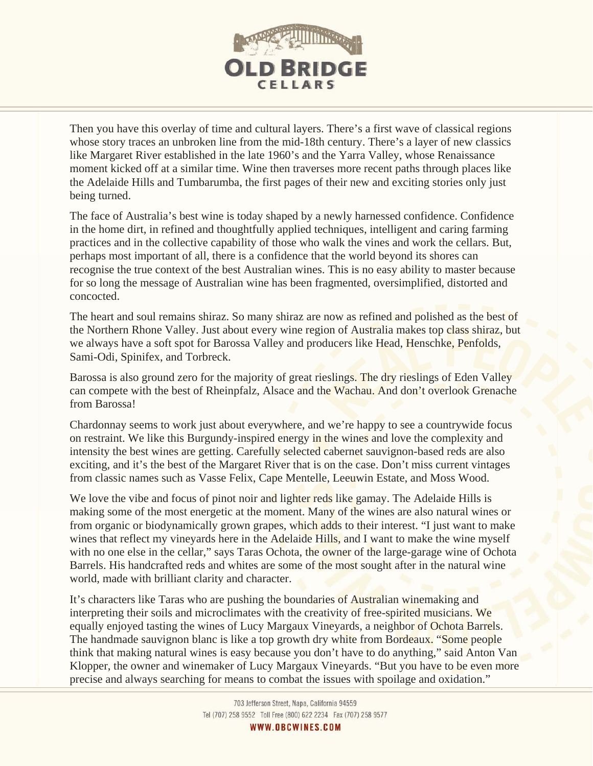

Then you have this overlay of time and cultural layers. There's a first wave of classical regions whose story traces an unbroken line from the mid-18th century. There's a layer of new classics like Margaret River established in the late 1960's and the Yarra Valley, whose Renaissance moment kicked off at a similar time. Wine then traverses more recent paths through places like the Adelaide Hills and Tumbarumba, the first pages of their new and exciting stories only just being turned.

The face of Australia's best wine is today shaped by a newly harnessed confidence. Confidence in the home dirt, in refined and thoughtfully applied techniques, intelligent and caring farming practices and in the collective capability of those who walk the vines and work the cellars. But, perhaps most important of all, there is a confidence that the world beyond its shores can recognise the true context of the best Australian wines. This is no easy ability to master because for so long the message of Australian wine has been fragmented, oversimplified, distorted and concocted.

The heart and soul remains shiraz. So many shiraz are now as refined and polished as the best of the Northern Rhone Valley. Just about every wine region of Australia makes top class shiraz, but we always have a soft spot for Barossa Valley and producers like Head, Henschke, Penfolds, Sami-Odi, Spinifex, and Torbreck.

Barossa is also ground zero for the majority of great rieslings. The dry rieslings of Eden Valley can compete with the best of Rheinpfalz, Alsace and the Wachau. And don't overlook Grenache from Barossa!

Chardonnay seems to work just about everywhere, and we're happy to see a countrywide focus on restraint. We like this Burgundy-inspired energy in the wines and love the complexity and intensity the best wines are getting. Carefully selected cabernet sauvignon-based reds are also exciting, and it's the best of the Margaret River that is on the case. Don't miss current vintages from classic names such as Vasse Felix, Cape Mentelle, Leeuwin Estate, and Moss Wood.

We love the vibe and focus of pinot noir and lighter reds like gamay. The Adelaide Hills is making some of the most energetic at the moment. Many of the wines are also natural wines or from organic or biodynamically grown grapes, which adds to their interest. "I just want to make wines that reflect my vineyards here in the Adelaide Hills, and I want to make the wine myself with no one else in the cellar," says Taras Ochota, the owner of the large-garage wine of Ochota Barrels. His handcrafted reds and whites are some of the most sought after in the natural wine world, made with brilliant clarity and character.

It's characters like Taras who are pushing the boundaries of Australian winemaking and interpreting their soils and microclimates with the creativity of free-spirited musicians. We equally enjoyed tasting the wines of Lucy Margaux Vineyards, a neighbor of Ochota Barrels. The handmade sauvignon blanc is like a top growth dry white from Bordeaux. "Some people think that making natural wines is easy because you don't have to do anything," said Anton Van Klopper, the owner and winemaker of Lucy Margaux Vineyards. "But you have to be even more precise and always searching for means to combat the issues with spoilage and oxidation."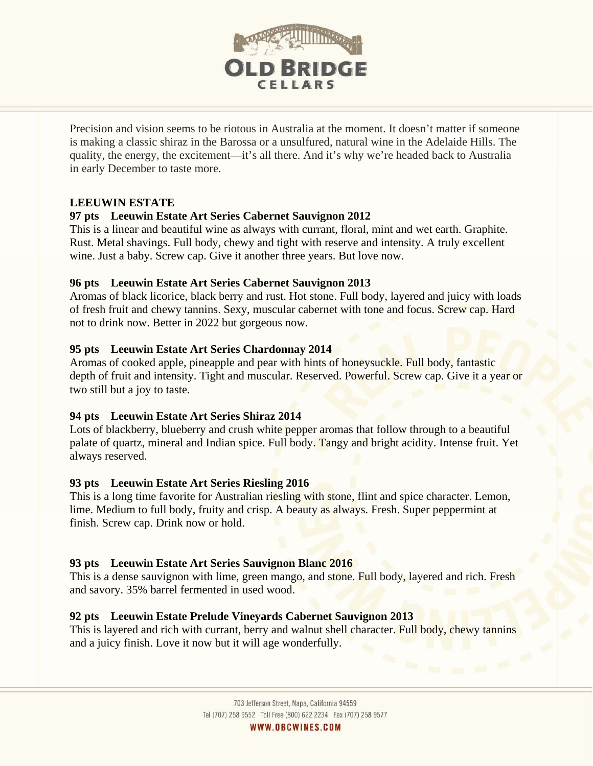

Precision and vision seems to be riotous in Australia at the moment. It doesn't matter if someone is making a classic shiraz in the Barossa or a unsulfured, natural wine in the Adelaide Hills. The quality, the energy, the excitement—it's all there. And it's why we're headed back to Australia in early December to taste more.

#### **LEEUWIN ESTATE**

#### **97 pts Leeuwin Estate Art Series Cabernet Sauvignon 2012**

This is a linear and beautiful wine as always with currant, floral, mint and wet earth. Graphite. Rust. Metal shavings. Full body, chewy and tight with reserve and intensity. A truly excellent wine. Just a baby. Screw cap. Give it another three years. But love now.

#### **96 pts Leeuwin Estate Art Series Cabernet Sauvignon 2013**

Aromas of black licorice, black berry and rust. Hot stone. Full body, layered and juicy with loads of fresh fruit and chewy tannins. Sexy, muscular cabernet with tone and focus. Screw cap. Hard not to drink now. Better in 2022 but gorgeous now.

#### **95 pts Leeuwin Estate Art Series Chardonnay 2014**

Aromas of cooked apple, pineapple and pear with hints of honeysuckle. Full body, fantastic depth of fruit and intensity. Tight and muscular. Reserved. Powerful. Screw cap. Give it a year or two still but a joy to taste.

#### **94 pts Leeuwin Estate Art Series Shiraz 2014**

Lots of blackberry, blueberry and crush white pepper aromas that follow through to a beautiful palate of quartz, mineral and Indian spice. Full body. Tangy and bright acidity. Intense fruit. Yet always reserved.

## **93 pts Leeuwin Estate Art Series Riesling 2016**

This is a long time favorite for Australian riesling with stone, flint and spice character. Lemon, lime. Medium to full body, fruity and crisp. A beauty as always. Fresh. Super peppermint at finish. Screw cap. Drink now or hold.

## **93 pts Leeuwin Estate Art Series Sauvignon Blanc 2016**

This is a dense sauvignon with lime, green mango, and stone. Full body, layered and rich. Fresh and savory. 35% barrel fermented in used wood.

## **92 pts Leeuwin Estate Prelude Vineyards Cabernet Sauvignon 2013**

This is layered and rich with currant, berry and walnut shell character. Full body, chewy tannins and a juicy finish. Love it now but it will age wonderfully.

WWW.OBCWINES.COM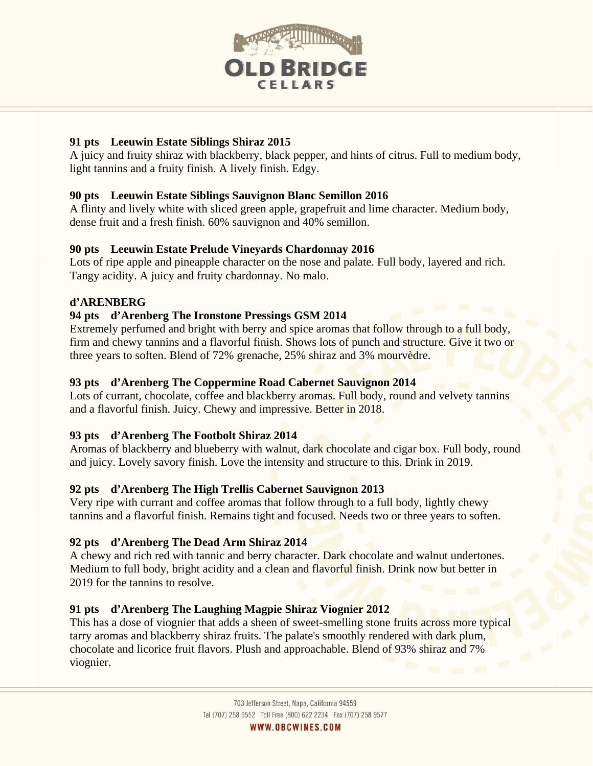

## **91 pts Leeuwin Estate Siblings Shiraz 2015**

A juicy and fruity shiraz with blackberry, black pepper, and hints of citrus. Full to medium body, light tannins and a fruity finish. A lively finish. Edgy.

## **90 pts Leeuwin Estate Siblings Sauvignon Blanc Semillon 2016**

A flinty and lively white with sliced green apple, grapefruit and lime character. Medium body, dense fruit and a fresh finish. 60% sauvignon and 40% semillon.

## **90 pts Leeuwin Estate Prelude Vineyards Chardonnay 2016**

Lots of ripe apple and pineapple character on the nose and palate. Full body, layered and rich. Tangy acidity. A juicy and fruity chardonnay. No malo.

## **d'ARENBERG**

i

## **94 pts d'Arenberg The Ironstone Pressings GSM 2014**

Extremely perfumed and bright with berry and spice aromas that follow through to a full body, firm and chewy tannins and a flavorful finish. Shows lots of punch and structure. Give it two or three years to soften. Blend of 72% grenache, 25% shiraz and 3% mourvèdre.

## **93 pts d'Arenberg The Coppermine Road Cabernet Sauvignon 2014**

Lots of currant, chocolate, coffee and blackberry aromas. Full body, round and velvety tannins and a flavorful finish. Juicy. Chewy and impressive. Better in 2018.

## **93 pts d'Arenberg The Footbolt Shiraz 2014**

Aromas of blackberry and blueberry with walnut, dark chocolate and cigar box. Full body, round and juicy. Lovely savory finish. Love the intensity and structure to this. Drink in 2019.

# **92 pts d'Arenberg The High Trellis Cabernet Sauvignon 2013**

Very ripe with currant and coffee aromas that follow through to a full body, lightly chewy tannins and a flavorful finish. Remains tight and focused. Needs two or three years to soften.

# **92 pts d'Arenberg The Dead Arm Shiraz 2014**

A chewy and rich red with tannic and berry character. Dark chocolate and walnut undertones. Medium to full body, bright acidity and a clean and flavorful finish. Drink now but better in 2019 for the tannins to resolve.

## **91 pts d'Arenberg The Laughing Magpie Shiraz Viognier 2012**

This has a dose of viognier that adds a sheen of sweet-smelling stone fruits across more typical tarry aromas and blackberry shiraz fruits. The palate's smoothly rendered with dark plum, chocolate and licorice fruit flavors. Plush and approachable. Blend of 93% shiraz and 7% viognier.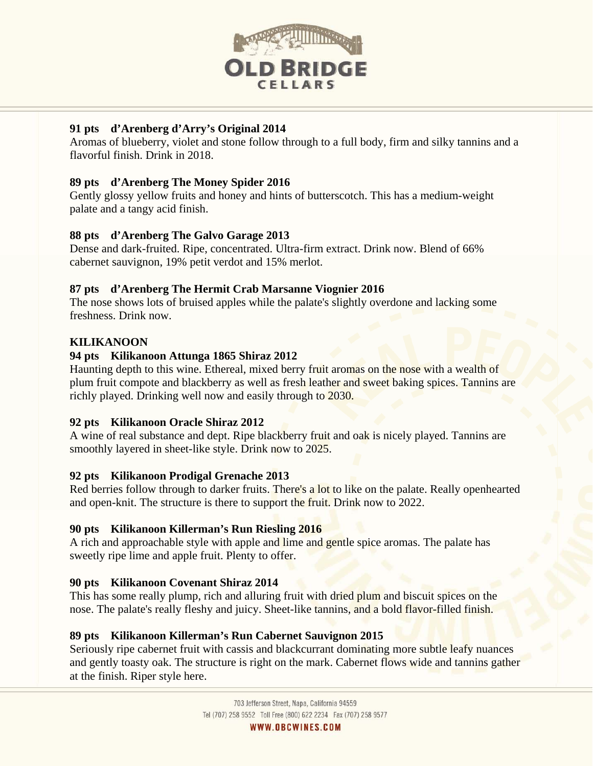

## **91 pts d'Arenberg d'Arry's Original 2014**

Aromas of blueberry, violet and stone follow through to a full body, firm and silky tannins and a flavorful finish. Drink in 2018.

## **89 pts d'Arenberg The Money Spider 2016**

Gently glossy yellow fruits and honey and hints of butterscotch. This has a medium-weight palate and a tangy acid finish.

## **88 pts d'Arenberg The Galvo Garage 2013**

Dense and dark-fruited. Ripe, concentrated. Ultra-firm extract. Drink now. Blend of 66% cabernet sauvignon, 19% petit verdot and 15% merlot.

## **87 pts d'Arenberg The Hermit Crab Marsanne Viognier 2016**

The nose shows lots of bruised apples while the palate's slightly overdone and lacking some freshness. Drink now.

## **KILIKANOON**

## **94 pts Kilikanoon Attunga 1865 Shiraz 2012**

Haunting depth to this wine. Ethereal, mixed berry fruit aromas on the nose with a wealth of plum fruit compote and blackberry as well as fresh leather and sweet baking spices. Tannins are richly played. Drinking well now and easily through to 2030.

## **92 pts Kilikanoon Oracle Shiraz 2012**

A wine of real substance and dept. Ripe blackberry fruit and oak is nicely played. Tannins are smoothly layered in sheet-like style. Drink now to 2025.

## **92 pts Kilikanoon Prodigal Grenache 2013**

Red berries follow through to darker fruits. There's a lot to like on the palate. Really openhearted and open-knit. The structure is there to support the fruit. Drink now to 2022.

## **90 pts Kilikanoon Killerman's Run Riesling 2016**

A rich and approachable style with apple and lime and gentle spice aromas. The palate has sweetly ripe lime and apple fruit. Plenty to offer.

# **90 pts Kilikanoon Covenant Shiraz 2014**

This has some really plump, rich and alluring fruit with dried plum and biscuit spices on the nose. The palate's really fleshy and juicy. Sheet-like tannins, and a bold flavor-filled finish.

## **89 pts Kilikanoon Killerman's Run Cabernet Sauvignon 2015**

Seriously ripe cabernet fruit with cassis and blackcurrant dominating more subtle leafy nuances and gently toasty oak. The structure is right on the mark. Cabernet flows wide and tannins gather at the finish. Riper style here.

WWW.OBCWINES.COM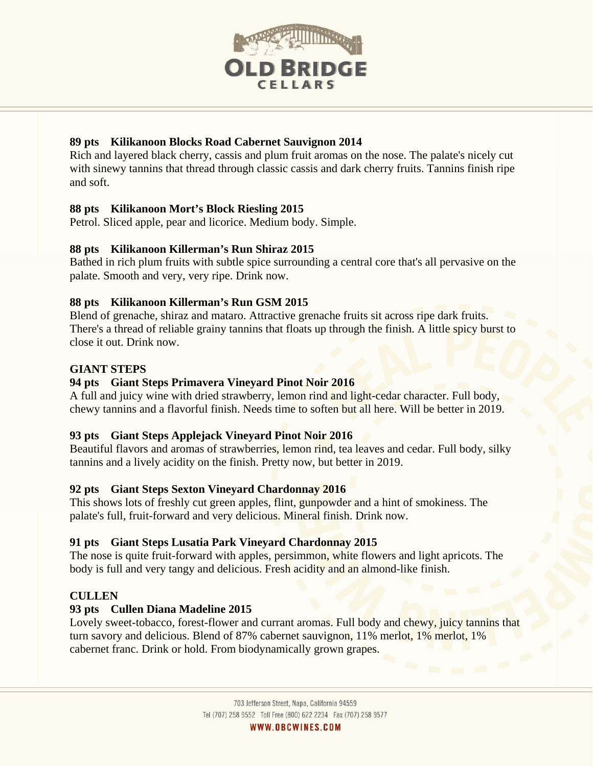

## **89 pts Kilikanoon Blocks Road Cabernet Sauvignon 2014**

Rich and layered black cherry, cassis and plum fruit aromas on the nose. The palate's nicely cut with sinewy tannins that thread through classic cassis and dark cherry fruits. Tannins finish ripe and soft.

## **88 pts Kilikanoon Mort's Block Riesling 2015**

Petrol. Sliced apple, pear and licorice. Medium body. Simple.

## **88 pts Kilikanoon Killerman's Run Shiraz 2015**

Bathed in rich plum fruits with subtle spice surrounding a central core that's all pervasive on the palate. Smooth and very, very ripe. Drink now.

## **88 pts Kilikanoon Killerman's Run GSM 2015**

Blend of grenache, shiraz and mataro. Attractive grenache fruits sit across ripe dark fruits. There's a thread of reliable grainy tannins that floats up through the finish. A little spicy burst to close it out. Drink now.

## **GIANT STEPS**

## **94 pts Giant Steps Primavera Vineyard Pinot Noir 2016**

A full and juicy wine with dried strawberry, lemon rind and light-cedar character. Full body, chewy tannins and a flavorful finish. Needs time to soften but all here. Will be better in 2019.

## **93 pts Giant Steps Applejack Vineyard Pinot Noir 2016**

Beautiful flavors and aromas of strawberries, lemon rind, tea leaves and cedar. Full body, silky tannins and a lively acidity on the finish. Pretty now, but better in 2019.

## **92 pts Giant Steps Sexton Vineyard Chardonnay 2016**

This shows lots of freshly cut green apples, flint, gunpowder and a hint of smokiness. The palate's full, fruit-forward and very delicious. Mineral finish. Drink now.

## **91 pts Giant Steps Lusatia Park Vineyard Chardonnay 2015**

The nose is quite fruit-forward with apples, persimmon, white flowers and light apricots. The body is full and very tangy and delicious. Fresh acidity and an almond-like finish.

## **CULLEN**

## **93 pts Cullen Diana Madeline 2015**

Lovely sweet-tobacco, forest-flower and currant aromas. Full body and chewy, juicy tannins that turn savory and delicious. Blend of 87% cabernet sauvignon, 11% merlot, 1% merlot, 1% cabernet franc. Drink or hold. From biodynamically grown grapes.

WWW.OBCWINES.COM